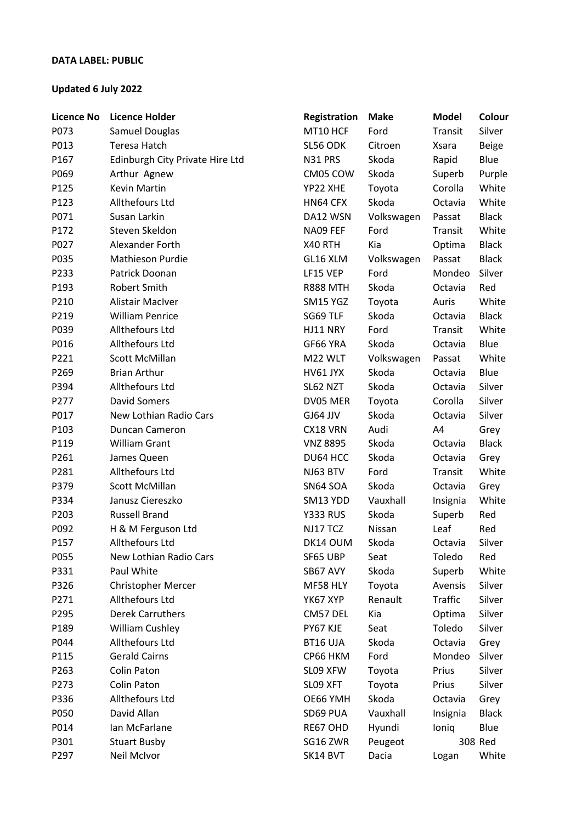## **DATA LABEL: PUBLIC**

## **Updated 6 July 2022**

| MT10 HCF<br>P073<br>Samuel Douglas<br>Ford<br>Transit<br>Silver<br>P013<br>Teresa Hatch<br>SL56 ODK<br>Citroen<br><b>Beige</b><br>Xsara<br>Edinburgh City Private Hire Ltd<br>P167<br>N31 PRS<br>Skoda<br>Rapid<br>Blue<br>P069<br>Arthur Agnew<br>CM05 COW<br>Skoda<br>Purple<br>Superb<br><b>Kevin Martin</b><br>P125<br>YP22 XHE<br>Corolla<br>White<br>Toyota<br>Allthefours Ltd<br>Skoda<br>White<br>P123<br>HN64 CFX<br>Octavia<br>Susan Larkin<br>DA12 WSN<br>Volkswagen<br><b>Black</b><br>P071<br>Passat<br>Steven Skeldon<br>White<br>P172<br>NA09 FEF<br>Ford<br>Transit<br>Alexander Forth<br><b>Black</b><br>P027<br>X40 RTH<br>Kia<br>Optima<br>Mathieson Purdie<br><b>Black</b><br>P035<br>GL16 XLM<br>Volkswagen<br>Passat<br>Patrick Doonan<br>Ford<br>Mondeo<br>Silver<br>P233<br>LF15 VEP<br>Robert Smith<br>P193<br><b>R888 MTH</b><br>Skoda<br>Octavia<br>Red<br>Alistair MacIver<br>White<br>P210<br>SM15 YGZ<br>Toyota<br>Auris<br><b>William Penrice</b><br>Skoda<br><b>Black</b><br>SG69 TLF<br>P219<br>Octavia<br>Allthefours Ltd<br>Ford<br>White<br>P039<br>HJ11 NRY<br>Transit<br>Allthefours Ltd<br>Skoda<br>Blue<br>P016<br>GF66 YRA<br>Octavia<br>White<br>P221<br>Scott McMillan<br>M22 WLT<br>Volkswagen<br>Passat<br><b>Brian Arthur</b><br>Skoda<br>Blue<br>P269<br>HV61 JYX<br>Octavia<br>Allthefours Ltd<br>Skoda<br>Silver<br>P394<br>SL62 NZT<br>Octavia<br><b>David Somers</b><br>P277<br>DV05 MER<br>Corolla<br>Silver<br>Toyota<br>Skoda<br>P017<br>New Lothian Radio Cars<br>GJ64 JJV<br>Silver<br>Octavia<br>P103<br>Duncan Cameron<br>CX18 VRN<br>Audi<br>A4<br>Grey<br><b>William Grant</b><br><b>VNZ 8895</b><br>Skoda<br>P119<br><b>Black</b><br>Octavia<br>Skoda<br>P261<br>James Queen<br>DU64 HCC<br>Octavia<br>Grey<br>Allthefours Ltd<br>Ford<br>P281<br>NJ63 BTV<br>Transit<br>White<br>Scott McMillan<br>Skoda<br>P379<br>SN64 SOA<br>Octavia<br>Grey<br>Janusz Ciereszko<br>White<br>P334<br>SM13 YDD<br>Vauxhall<br>Insignia<br><b>Russell Brand</b><br>Skoda<br>P203<br><b>Y333 RUS</b><br>Red<br>Superb<br>P092<br>H & M Ferguson Ltd<br>NJ17 TCZ<br>Nissan<br>Leaf<br>Red<br>Silver<br>P157<br>Allthefours Ltd<br>DK14 OUM<br>Skoda<br>Octavia<br>Toledo<br>New Lothian Radio Cars<br>Red<br>P055<br>SF65 UBP<br>Seat<br>P331<br>Paul White<br>Skoda<br>White<br>SB67 AVY<br>Superb<br>P326<br>Christopher Mercer<br>MF58 HLY<br>Toyota<br>Silver<br>Avensis<br>Allthefours Ltd<br><b>Traffic</b><br>P271<br>YK67 XYP<br>Renault<br>Silver<br><b>Derek Carruthers</b><br>P295<br>CM57 DEL<br>Kia<br>Silver<br>Optima<br><b>William Cushley</b><br>PY67 KJE<br>Seat<br>Toledo<br>Silver<br>P189<br>Allthefours Ltd<br>Skoda<br>P044<br>BT16 UJA<br>Octavia<br>Grey<br>P115<br><b>Gerald Cairns</b><br>Ford<br>Mondeo<br>Silver<br>CP66 HKM<br><b>Colin Paton</b><br>Silver<br>P263<br>SL09 XFW<br>Prius<br>Toyota<br><b>Colin Paton</b><br>P273<br>SLO9 XFT<br>Toyota<br>Prius<br>Silver<br>Allthefours Ltd<br>Skoda<br>P336<br>OE66 YMH<br>Octavia<br>Grey<br>David Allan<br>SD69 PUA<br>Vauxhall<br>P050<br><b>Black</b><br>Insignia<br>Blue<br>P014<br>Ian McFarlane<br>RE67 OHD<br>Hyundi<br>loniq<br>P301<br>308 Red<br><b>Stuart Busby</b><br>SG16 ZWR<br>Peugeot<br>P297<br>SK14 BVT<br>Dacia<br>White | <b>Licence No</b> | <b>Licence Holder</b> | Registration | <b>Make</b> | <b>Model</b> | Colour |
|---------------------------------------------------------------------------------------------------------------------------------------------------------------------------------------------------------------------------------------------------------------------------------------------------------------------------------------------------------------------------------------------------------------------------------------------------------------------------------------------------------------------------------------------------------------------------------------------------------------------------------------------------------------------------------------------------------------------------------------------------------------------------------------------------------------------------------------------------------------------------------------------------------------------------------------------------------------------------------------------------------------------------------------------------------------------------------------------------------------------------------------------------------------------------------------------------------------------------------------------------------------------------------------------------------------------------------------------------------------------------------------------------------------------------------------------------------------------------------------------------------------------------------------------------------------------------------------------------------------------------------------------------------------------------------------------------------------------------------------------------------------------------------------------------------------------------------------------------------------------------------------------------------------------------------------------------------------------------------------------------------------------------------------------------------------------------------------------------------------------------------------------------------------------------------------------------------------------------------------------------------------------------------------------------------------------------------------------------------------------------------------------------------------------------------------------------------------------------------------------------------------------------------------------------------------------------------------------------------------------------------------------------------------------------------------------------------------------------------------------------------------------------------------------------------------------------------------------------------------------------------------------------------------------------------------------------------------------------------------------------------------------------------------------------------------------------------------------------------------------------------------------------------------------------------------------------------------------------------------------------------------------------|-------------------|-----------------------|--------------|-------------|--------------|--------|
|                                                                                                                                                                                                                                                                                                                                                                                                                                                                                                                                                                                                                                                                                                                                                                                                                                                                                                                                                                                                                                                                                                                                                                                                                                                                                                                                                                                                                                                                                                                                                                                                                                                                                                                                                                                                                                                                                                                                                                                                                                                                                                                                                                                                                                                                                                                                                                                                                                                                                                                                                                                                                                                                                                                                                                                                                                                                                                                                                                                                                                                                                                                                                                                                                                                                           |                   |                       |              |             |              |        |
|                                                                                                                                                                                                                                                                                                                                                                                                                                                                                                                                                                                                                                                                                                                                                                                                                                                                                                                                                                                                                                                                                                                                                                                                                                                                                                                                                                                                                                                                                                                                                                                                                                                                                                                                                                                                                                                                                                                                                                                                                                                                                                                                                                                                                                                                                                                                                                                                                                                                                                                                                                                                                                                                                                                                                                                                                                                                                                                                                                                                                                                                                                                                                                                                                                                                           |                   |                       |              |             |              |        |
|                                                                                                                                                                                                                                                                                                                                                                                                                                                                                                                                                                                                                                                                                                                                                                                                                                                                                                                                                                                                                                                                                                                                                                                                                                                                                                                                                                                                                                                                                                                                                                                                                                                                                                                                                                                                                                                                                                                                                                                                                                                                                                                                                                                                                                                                                                                                                                                                                                                                                                                                                                                                                                                                                                                                                                                                                                                                                                                                                                                                                                                                                                                                                                                                                                                                           |                   |                       |              |             |              |        |
|                                                                                                                                                                                                                                                                                                                                                                                                                                                                                                                                                                                                                                                                                                                                                                                                                                                                                                                                                                                                                                                                                                                                                                                                                                                                                                                                                                                                                                                                                                                                                                                                                                                                                                                                                                                                                                                                                                                                                                                                                                                                                                                                                                                                                                                                                                                                                                                                                                                                                                                                                                                                                                                                                                                                                                                                                                                                                                                                                                                                                                                                                                                                                                                                                                                                           |                   |                       |              |             |              |        |
|                                                                                                                                                                                                                                                                                                                                                                                                                                                                                                                                                                                                                                                                                                                                                                                                                                                                                                                                                                                                                                                                                                                                                                                                                                                                                                                                                                                                                                                                                                                                                                                                                                                                                                                                                                                                                                                                                                                                                                                                                                                                                                                                                                                                                                                                                                                                                                                                                                                                                                                                                                                                                                                                                                                                                                                                                                                                                                                                                                                                                                                                                                                                                                                                                                                                           |                   |                       |              |             |              |        |
|                                                                                                                                                                                                                                                                                                                                                                                                                                                                                                                                                                                                                                                                                                                                                                                                                                                                                                                                                                                                                                                                                                                                                                                                                                                                                                                                                                                                                                                                                                                                                                                                                                                                                                                                                                                                                                                                                                                                                                                                                                                                                                                                                                                                                                                                                                                                                                                                                                                                                                                                                                                                                                                                                                                                                                                                                                                                                                                                                                                                                                                                                                                                                                                                                                                                           |                   |                       |              |             |              |        |
|                                                                                                                                                                                                                                                                                                                                                                                                                                                                                                                                                                                                                                                                                                                                                                                                                                                                                                                                                                                                                                                                                                                                                                                                                                                                                                                                                                                                                                                                                                                                                                                                                                                                                                                                                                                                                                                                                                                                                                                                                                                                                                                                                                                                                                                                                                                                                                                                                                                                                                                                                                                                                                                                                                                                                                                                                                                                                                                                                                                                                                                                                                                                                                                                                                                                           |                   |                       |              |             |              |        |
|                                                                                                                                                                                                                                                                                                                                                                                                                                                                                                                                                                                                                                                                                                                                                                                                                                                                                                                                                                                                                                                                                                                                                                                                                                                                                                                                                                                                                                                                                                                                                                                                                                                                                                                                                                                                                                                                                                                                                                                                                                                                                                                                                                                                                                                                                                                                                                                                                                                                                                                                                                                                                                                                                                                                                                                                                                                                                                                                                                                                                                                                                                                                                                                                                                                                           |                   |                       |              |             |              |        |
|                                                                                                                                                                                                                                                                                                                                                                                                                                                                                                                                                                                                                                                                                                                                                                                                                                                                                                                                                                                                                                                                                                                                                                                                                                                                                                                                                                                                                                                                                                                                                                                                                                                                                                                                                                                                                                                                                                                                                                                                                                                                                                                                                                                                                                                                                                                                                                                                                                                                                                                                                                                                                                                                                                                                                                                                                                                                                                                                                                                                                                                                                                                                                                                                                                                                           |                   |                       |              |             |              |        |
|                                                                                                                                                                                                                                                                                                                                                                                                                                                                                                                                                                                                                                                                                                                                                                                                                                                                                                                                                                                                                                                                                                                                                                                                                                                                                                                                                                                                                                                                                                                                                                                                                                                                                                                                                                                                                                                                                                                                                                                                                                                                                                                                                                                                                                                                                                                                                                                                                                                                                                                                                                                                                                                                                                                                                                                                                                                                                                                                                                                                                                                                                                                                                                                                                                                                           |                   |                       |              |             |              |        |
|                                                                                                                                                                                                                                                                                                                                                                                                                                                                                                                                                                                                                                                                                                                                                                                                                                                                                                                                                                                                                                                                                                                                                                                                                                                                                                                                                                                                                                                                                                                                                                                                                                                                                                                                                                                                                                                                                                                                                                                                                                                                                                                                                                                                                                                                                                                                                                                                                                                                                                                                                                                                                                                                                                                                                                                                                                                                                                                                                                                                                                                                                                                                                                                                                                                                           |                   |                       |              |             |              |        |
|                                                                                                                                                                                                                                                                                                                                                                                                                                                                                                                                                                                                                                                                                                                                                                                                                                                                                                                                                                                                                                                                                                                                                                                                                                                                                                                                                                                                                                                                                                                                                                                                                                                                                                                                                                                                                                                                                                                                                                                                                                                                                                                                                                                                                                                                                                                                                                                                                                                                                                                                                                                                                                                                                                                                                                                                                                                                                                                                                                                                                                                                                                                                                                                                                                                                           |                   |                       |              |             |              |        |
|                                                                                                                                                                                                                                                                                                                                                                                                                                                                                                                                                                                                                                                                                                                                                                                                                                                                                                                                                                                                                                                                                                                                                                                                                                                                                                                                                                                                                                                                                                                                                                                                                                                                                                                                                                                                                                                                                                                                                                                                                                                                                                                                                                                                                                                                                                                                                                                                                                                                                                                                                                                                                                                                                                                                                                                                                                                                                                                                                                                                                                                                                                                                                                                                                                                                           |                   |                       |              |             |              |        |
|                                                                                                                                                                                                                                                                                                                                                                                                                                                                                                                                                                                                                                                                                                                                                                                                                                                                                                                                                                                                                                                                                                                                                                                                                                                                                                                                                                                                                                                                                                                                                                                                                                                                                                                                                                                                                                                                                                                                                                                                                                                                                                                                                                                                                                                                                                                                                                                                                                                                                                                                                                                                                                                                                                                                                                                                                                                                                                                                                                                                                                                                                                                                                                                                                                                                           |                   |                       |              |             |              |        |
|                                                                                                                                                                                                                                                                                                                                                                                                                                                                                                                                                                                                                                                                                                                                                                                                                                                                                                                                                                                                                                                                                                                                                                                                                                                                                                                                                                                                                                                                                                                                                                                                                                                                                                                                                                                                                                                                                                                                                                                                                                                                                                                                                                                                                                                                                                                                                                                                                                                                                                                                                                                                                                                                                                                                                                                                                                                                                                                                                                                                                                                                                                                                                                                                                                                                           |                   |                       |              |             |              |        |
|                                                                                                                                                                                                                                                                                                                                                                                                                                                                                                                                                                                                                                                                                                                                                                                                                                                                                                                                                                                                                                                                                                                                                                                                                                                                                                                                                                                                                                                                                                                                                                                                                                                                                                                                                                                                                                                                                                                                                                                                                                                                                                                                                                                                                                                                                                                                                                                                                                                                                                                                                                                                                                                                                                                                                                                                                                                                                                                                                                                                                                                                                                                                                                                                                                                                           |                   |                       |              |             |              |        |
|                                                                                                                                                                                                                                                                                                                                                                                                                                                                                                                                                                                                                                                                                                                                                                                                                                                                                                                                                                                                                                                                                                                                                                                                                                                                                                                                                                                                                                                                                                                                                                                                                                                                                                                                                                                                                                                                                                                                                                                                                                                                                                                                                                                                                                                                                                                                                                                                                                                                                                                                                                                                                                                                                                                                                                                                                                                                                                                                                                                                                                                                                                                                                                                                                                                                           |                   |                       |              |             |              |        |
|                                                                                                                                                                                                                                                                                                                                                                                                                                                                                                                                                                                                                                                                                                                                                                                                                                                                                                                                                                                                                                                                                                                                                                                                                                                                                                                                                                                                                                                                                                                                                                                                                                                                                                                                                                                                                                                                                                                                                                                                                                                                                                                                                                                                                                                                                                                                                                                                                                                                                                                                                                                                                                                                                                                                                                                                                                                                                                                                                                                                                                                                                                                                                                                                                                                                           |                   |                       |              |             |              |        |
|                                                                                                                                                                                                                                                                                                                                                                                                                                                                                                                                                                                                                                                                                                                                                                                                                                                                                                                                                                                                                                                                                                                                                                                                                                                                                                                                                                                                                                                                                                                                                                                                                                                                                                                                                                                                                                                                                                                                                                                                                                                                                                                                                                                                                                                                                                                                                                                                                                                                                                                                                                                                                                                                                                                                                                                                                                                                                                                                                                                                                                                                                                                                                                                                                                                                           |                   |                       |              |             |              |        |
|                                                                                                                                                                                                                                                                                                                                                                                                                                                                                                                                                                                                                                                                                                                                                                                                                                                                                                                                                                                                                                                                                                                                                                                                                                                                                                                                                                                                                                                                                                                                                                                                                                                                                                                                                                                                                                                                                                                                                                                                                                                                                                                                                                                                                                                                                                                                                                                                                                                                                                                                                                                                                                                                                                                                                                                                                                                                                                                                                                                                                                                                                                                                                                                                                                                                           |                   |                       |              |             |              |        |
|                                                                                                                                                                                                                                                                                                                                                                                                                                                                                                                                                                                                                                                                                                                                                                                                                                                                                                                                                                                                                                                                                                                                                                                                                                                                                                                                                                                                                                                                                                                                                                                                                                                                                                                                                                                                                                                                                                                                                                                                                                                                                                                                                                                                                                                                                                                                                                                                                                                                                                                                                                                                                                                                                                                                                                                                                                                                                                                                                                                                                                                                                                                                                                                                                                                                           |                   |                       |              |             |              |        |
|                                                                                                                                                                                                                                                                                                                                                                                                                                                                                                                                                                                                                                                                                                                                                                                                                                                                                                                                                                                                                                                                                                                                                                                                                                                                                                                                                                                                                                                                                                                                                                                                                                                                                                                                                                                                                                                                                                                                                                                                                                                                                                                                                                                                                                                                                                                                                                                                                                                                                                                                                                                                                                                                                                                                                                                                                                                                                                                                                                                                                                                                                                                                                                                                                                                                           |                   |                       |              |             |              |        |
|                                                                                                                                                                                                                                                                                                                                                                                                                                                                                                                                                                                                                                                                                                                                                                                                                                                                                                                                                                                                                                                                                                                                                                                                                                                                                                                                                                                                                                                                                                                                                                                                                                                                                                                                                                                                                                                                                                                                                                                                                                                                                                                                                                                                                                                                                                                                                                                                                                                                                                                                                                                                                                                                                                                                                                                                                                                                                                                                                                                                                                                                                                                                                                                                                                                                           |                   |                       |              |             |              |        |
|                                                                                                                                                                                                                                                                                                                                                                                                                                                                                                                                                                                                                                                                                                                                                                                                                                                                                                                                                                                                                                                                                                                                                                                                                                                                                                                                                                                                                                                                                                                                                                                                                                                                                                                                                                                                                                                                                                                                                                                                                                                                                                                                                                                                                                                                                                                                                                                                                                                                                                                                                                                                                                                                                                                                                                                                                                                                                                                                                                                                                                                                                                                                                                                                                                                                           |                   |                       |              |             |              |        |
|                                                                                                                                                                                                                                                                                                                                                                                                                                                                                                                                                                                                                                                                                                                                                                                                                                                                                                                                                                                                                                                                                                                                                                                                                                                                                                                                                                                                                                                                                                                                                                                                                                                                                                                                                                                                                                                                                                                                                                                                                                                                                                                                                                                                                                                                                                                                                                                                                                                                                                                                                                                                                                                                                                                                                                                                                                                                                                                                                                                                                                                                                                                                                                                                                                                                           |                   |                       |              |             |              |        |
|                                                                                                                                                                                                                                                                                                                                                                                                                                                                                                                                                                                                                                                                                                                                                                                                                                                                                                                                                                                                                                                                                                                                                                                                                                                                                                                                                                                                                                                                                                                                                                                                                                                                                                                                                                                                                                                                                                                                                                                                                                                                                                                                                                                                                                                                                                                                                                                                                                                                                                                                                                                                                                                                                                                                                                                                                                                                                                                                                                                                                                                                                                                                                                                                                                                                           |                   |                       |              |             |              |        |
|                                                                                                                                                                                                                                                                                                                                                                                                                                                                                                                                                                                                                                                                                                                                                                                                                                                                                                                                                                                                                                                                                                                                                                                                                                                                                                                                                                                                                                                                                                                                                                                                                                                                                                                                                                                                                                                                                                                                                                                                                                                                                                                                                                                                                                                                                                                                                                                                                                                                                                                                                                                                                                                                                                                                                                                                                                                                                                                                                                                                                                                                                                                                                                                                                                                                           |                   |                       |              |             |              |        |
|                                                                                                                                                                                                                                                                                                                                                                                                                                                                                                                                                                                                                                                                                                                                                                                                                                                                                                                                                                                                                                                                                                                                                                                                                                                                                                                                                                                                                                                                                                                                                                                                                                                                                                                                                                                                                                                                                                                                                                                                                                                                                                                                                                                                                                                                                                                                                                                                                                                                                                                                                                                                                                                                                                                                                                                                                                                                                                                                                                                                                                                                                                                                                                                                                                                                           |                   |                       |              |             |              |        |
|                                                                                                                                                                                                                                                                                                                                                                                                                                                                                                                                                                                                                                                                                                                                                                                                                                                                                                                                                                                                                                                                                                                                                                                                                                                                                                                                                                                                                                                                                                                                                                                                                                                                                                                                                                                                                                                                                                                                                                                                                                                                                                                                                                                                                                                                                                                                                                                                                                                                                                                                                                                                                                                                                                                                                                                                                                                                                                                                                                                                                                                                                                                                                                                                                                                                           |                   |                       |              |             |              |        |
|                                                                                                                                                                                                                                                                                                                                                                                                                                                                                                                                                                                                                                                                                                                                                                                                                                                                                                                                                                                                                                                                                                                                                                                                                                                                                                                                                                                                                                                                                                                                                                                                                                                                                                                                                                                                                                                                                                                                                                                                                                                                                                                                                                                                                                                                                                                                                                                                                                                                                                                                                                                                                                                                                                                                                                                                                                                                                                                                                                                                                                                                                                                                                                                                                                                                           |                   |                       |              |             |              |        |
|                                                                                                                                                                                                                                                                                                                                                                                                                                                                                                                                                                                                                                                                                                                                                                                                                                                                                                                                                                                                                                                                                                                                                                                                                                                                                                                                                                                                                                                                                                                                                                                                                                                                                                                                                                                                                                                                                                                                                                                                                                                                                                                                                                                                                                                                                                                                                                                                                                                                                                                                                                                                                                                                                                                                                                                                                                                                                                                                                                                                                                                                                                                                                                                                                                                                           |                   |                       |              |             |              |        |
|                                                                                                                                                                                                                                                                                                                                                                                                                                                                                                                                                                                                                                                                                                                                                                                                                                                                                                                                                                                                                                                                                                                                                                                                                                                                                                                                                                                                                                                                                                                                                                                                                                                                                                                                                                                                                                                                                                                                                                                                                                                                                                                                                                                                                                                                                                                                                                                                                                                                                                                                                                                                                                                                                                                                                                                                                                                                                                                                                                                                                                                                                                                                                                                                                                                                           |                   |                       |              |             |              |        |
|                                                                                                                                                                                                                                                                                                                                                                                                                                                                                                                                                                                                                                                                                                                                                                                                                                                                                                                                                                                                                                                                                                                                                                                                                                                                                                                                                                                                                                                                                                                                                                                                                                                                                                                                                                                                                                                                                                                                                                                                                                                                                                                                                                                                                                                                                                                                                                                                                                                                                                                                                                                                                                                                                                                                                                                                                                                                                                                                                                                                                                                                                                                                                                                                                                                                           |                   |                       |              |             |              |        |
|                                                                                                                                                                                                                                                                                                                                                                                                                                                                                                                                                                                                                                                                                                                                                                                                                                                                                                                                                                                                                                                                                                                                                                                                                                                                                                                                                                                                                                                                                                                                                                                                                                                                                                                                                                                                                                                                                                                                                                                                                                                                                                                                                                                                                                                                                                                                                                                                                                                                                                                                                                                                                                                                                                                                                                                                                                                                                                                                                                                                                                                                                                                                                                                                                                                                           |                   |                       |              |             |              |        |
|                                                                                                                                                                                                                                                                                                                                                                                                                                                                                                                                                                                                                                                                                                                                                                                                                                                                                                                                                                                                                                                                                                                                                                                                                                                                                                                                                                                                                                                                                                                                                                                                                                                                                                                                                                                                                                                                                                                                                                                                                                                                                                                                                                                                                                                                                                                                                                                                                                                                                                                                                                                                                                                                                                                                                                                                                                                                                                                                                                                                                                                                                                                                                                                                                                                                           |                   |                       |              |             |              |        |
|                                                                                                                                                                                                                                                                                                                                                                                                                                                                                                                                                                                                                                                                                                                                                                                                                                                                                                                                                                                                                                                                                                                                                                                                                                                                                                                                                                                                                                                                                                                                                                                                                                                                                                                                                                                                                                                                                                                                                                                                                                                                                                                                                                                                                                                                                                                                                                                                                                                                                                                                                                                                                                                                                                                                                                                                                                                                                                                                                                                                                                                                                                                                                                                                                                                                           |                   |                       |              |             |              |        |
|                                                                                                                                                                                                                                                                                                                                                                                                                                                                                                                                                                                                                                                                                                                                                                                                                                                                                                                                                                                                                                                                                                                                                                                                                                                                                                                                                                                                                                                                                                                                                                                                                                                                                                                                                                                                                                                                                                                                                                                                                                                                                                                                                                                                                                                                                                                                                                                                                                                                                                                                                                                                                                                                                                                                                                                                                                                                                                                                                                                                                                                                                                                                                                                                                                                                           |                   |                       |              |             |              |        |
|                                                                                                                                                                                                                                                                                                                                                                                                                                                                                                                                                                                                                                                                                                                                                                                                                                                                                                                                                                                                                                                                                                                                                                                                                                                                                                                                                                                                                                                                                                                                                                                                                                                                                                                                                                                                                                                                                                                                                                                                                                                                                                                                                                                                                                                                                                                                                                                                                                                                                                                                                                                                                                                                                                                                                                                                                                                                                                                                                                                                                                                                                                                                                                                                                                                                           |                   |                       |              |             |              |        |
|                                                                                                                                                                                                                                                                                                                                                                                                                                                                                                                                                                                                                                                                                                                                                                                                                                                                                                                                                                                                                                                                                                                                                                                                                                                                                                                                                                                                                                                                                                                                                                                                                                                                                                                                                                                                                                                                                                                                                                                                                                                                                                                                                                                                                                                                                                                                                                                                                                                                                                                                                                                                                                                                                                                                                                                                                                                                                                                                                                                                                                                                                                                                                                                                                                                                           |                   |                       |              |             |              |        |
|                                                                                                                                                                                                                                                                                                                                                                                                                                                                                                                                                                                                                                                                                                                                                                                                                                                                                                                                                                                                                                                                                                                                                                                                                                                                                                                                                                                                                                                                                                                                                                                                                                                                                                                                                                                                                                                                                                                                                                                                                                                                                                                                                                                                                                                                                                                                                                                                                                                                                                                                                                                                                                                                                                                                                                                                                                                                                                                                                                                                                                                                                                                                                                                                                                                                           |                   |                       |              |             |              |        |
|                                                                                                                                                                                                                                                                                                                                                                                                                                                                                                                                                                                                                                                                                                                                                                                                                                                                                                                                                                                                                                                                                                                                                                                                                                                                                                                                                                                                                                                                                                                                                                                                                                                                                                                                                                                                                                                                                                                                                                                                                                                                                                                                                                                                                                                                                                                                                                                                                                                                                                                                                                                                                                                                                                                                                                                                                                                                                                                                                                                                                                                                                                                                                                                                                                                                           |                   |                       |              |             |              |        |
|                                                                                                                                                                                                                                                                                                                                                                                                                                                                                                                                                                                                                                                                                                                                                                                                                                                                                                                                                                                                                                                                                                                                                                                                                                                                                                                                                                                                                                                                                                                                                                                                                                                                                                                                                                                                                                                                                                                                                                                                                                                                                                                                                                                                                                                                                                                                                                                                                                                                                                                                                                                                                                                                                                                                                                                                                                                                                                                                                                                                                                                                                                                                                                                                                                                                           |                   |                       |              |             |              |        |
|                                                                                                                                                                                                                                                                                                                                                                                                                                                                                                                                                                                                                                                                                                                                                                                                                                                                                                                                                                                                                                                                                                                                                                                                                                                                                                                                                                                                                                                                                                                                                                                                                                                                                                                                                                                                                                                                                                                                                                                                                                                                                                                                                                                                                                                                                                                                                                                                                                                                                                                                                                                                                                                                                                                                                                                                                                                                                                                                                                                                                                                                                                                                                                                                                                                                           |                   |                       |              |             |              |        |
|                                                                                                                                                                                                                                                                                                                                                                                                                                                                                                                                                                                                                                                                                                                                                                                                                                                                                                                                                                                                                                                                                                                                                                                                                                                                                                                                                                                                                                                                                                                                                                                                                                                                                                                                                                                                                                                                                                                                                                                                                                                                                                                                                                                                                                                                                                                                                                                                                                                                                                                                                                                                                                                                                                                                                                                                                                                                                                                                                                                                                                                                                                                                                                                                                                                                           |                   |                       |              |             |              |        |
|                                                                                                                                                                                                                                                                                                                                                                                                                                                                                                                                                                                                                                                                                                                                                                                                                                                                                                                                                                                                                                                                                                                                                                                                                                                                                                                                                                                                                                                                                                                                                                                                                                                                                                                                                                                                                                                                                                                                                                                                                                                                                                                                                                                                                                                                                                                                                                                                                                                                                                                                                                                                                                                                                                                                                                                                                                                                                                                                                                                                                                                                                                                                                                                                                                                                           |                   | Neil McIvor           |              |             | Logan        |        |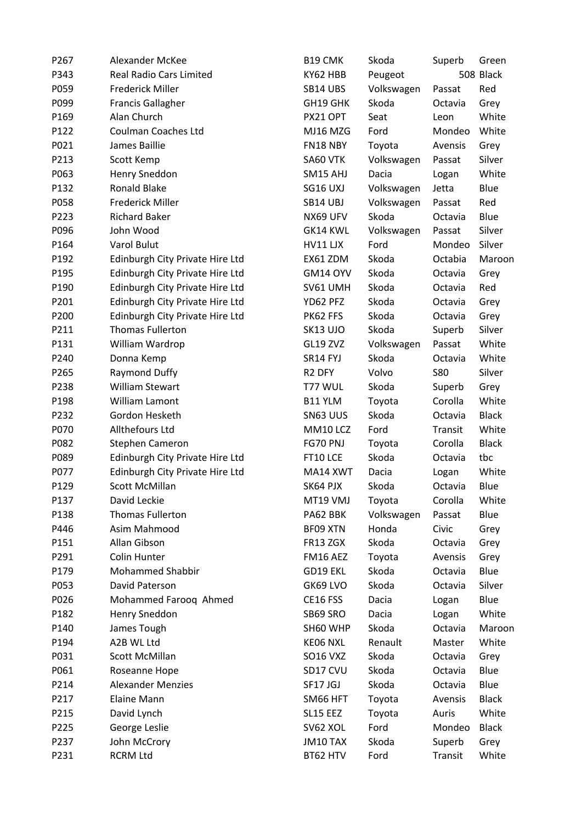| P267 | Alexander McKee                 | B19 CMK            | Skoda      | Superb     | Green        |
|------|---------------------------------|--------------------|------------|------------|--------------|
| P343 | Real Radio Cars Limited         | KY62 HBB           | Peugeot    |            | 508 Black    |
| P059 | <b>Frederick Miller</b>         | SB14 UBS           | Volkswagen | Passat     | Red          |
| P099 | <b>Francis Gallagher</b>        | GH19 GHK           | Skoda      | Octavia    | Grey         |
| P169 | Alan Church                     | PX21 OPT           | Seat       | Leon       | White        |
| P122 | <b>Coulman Coaches Ltd</b>      | MJ16 MZG           | Ford       | Mondeo     | White        |
| P021 | James Baillie                   | FN18 NBY           | Toyota     | Avensis    | Grey         |
| P213 | Scott Kemp                      | SA60 VTK           | Volkswagen | Passat     | Silver       |
| P063 | Henry Sneddon                   | SM15 AHJ           | Dacia      | Logan      | White        |
| P132 | Ronald Blake                    | SG16 UXJ           | Volkswagen | Jetta      | Blue         |
| P058 | <b>Frederick Miller</b>         | SB14 UBJ           | Volkswagen | Passat     | Red          |
| P223 | <b>Richard Baker</b>            | NX69 UFV           | Skoda      | Octavia    | Blue         |
| P096 | John Wood                       | GK14 KWL           | Volkswagen | Passat     | Silver       |
| P164 | Varol Bulut                     | HV11 LJX           | Ford       | Mondeo     | Silver       |
| P192 | Edinburgh City Private Hire Ltd | EX61 ZDM           | Skoda      | Octabia    | Maroon       |
| P195 | Edinburgh City Private Hire Ltd | GM14 OYV           | Skoda      | Octavia    | Grey         |
| P190 | Edinburgh City Private Hire Ltd | SV61 UMH           | Skoda      | Octavia    | Red          |
| P201 | Edinburgh City Private Hire Ltd | YD62 PFZ           | Skoda      | Octavia    | Grey         |
| P200 | Edinburgh City Private Hire Ltd | PK62 FFS           | Skoda      | Octavia    | Grey         |
| P211 | <b>Thomas Fullerton</b>         | SK13 UJO           | Skoda      | Superb     | Silver       |
| P131 | William Wardrop                 | GL19 ZVZ           | Volkswagen | Passat     | White        |
| P240 | Donna Kemp                      | SR14 FYJ           | Skoda      | Octavia    | White        |
| P265 | Raymond Duffy                   | R <sub>2</sub> DFY | Volvo      | <b>S80</b> | Silver       |
| P238 | <b>William Stewart</b>          | T77 WUL            | Skoda      | Superb     | Grey         |
| P198 | William Lamont                  | B11 YLM            | Toyota     | Corolla    | White        |
| P232 | Gordon Hesketh                  | SN63 UUS           | Skoda      | Octavia    | <b>Black</b> |
| P070 | Allthefours Ltd                 | MM10 LCZ           | Ford       | Transit    | White        |
| P082 | Stephen Cameron                 | FG70 PNJ           | Toyota     | Corolla    | <b>Black</b> |
| P089 | Edinburgh City Private Hire Ltd | FT10 LCE           | Skoda      | Octavia    | tbc          |
| P077 | Edinburgh City Private Hire Ltd | MA14 XWT           | Dacia      | Logan      | White        |
| P129 | Scott McMillan                  | SK64 PJX           | Skoda      | Octavia    | Blue         |
| P137 | David Leckie                    | MT19 VMJ           | Toyota     | Corolla    | White        |
| P138 | <b>Thomas Fullerton</b>         | PA62 BBK           | Volkswagen | Passat     | Blue         |
| P446 | Asim Mahmood                    | BF09 XTN           | Honda      | Civic      | Grey         |
| P151 | Allan Gibson                    | FR13 ZGX           | Skoda      | Octavia    | Grey         |
| P291 | Colin Hunter                    | FM16 AEZ           | Toyota     | Avensis    | Grey         |
| P179 | <b>Mohammed Shabbir</b>         | GD19 EKL           | Skoda      | Octavia    | Blue         |
| P053 | David Paterson                  | GK69 LVO           | Skoda      | Octavia    | Silver       |
| P026 | Mohammed Farooq Ahmed           | CE16 FSS           | Dacia      | Logan      | Blue         |
| P182 | Henry Sneddon                   | SB69 SRO           | Dacia      | Logan      | White        |
| P140 | James Tough                     | SH60 WHP           | Skoda      | Octavia    | Maroon       |
| P194 | A2B WL Ltd                      | KE06 NXL           | Renault    | Master     | White        |
| P031 | Scott McMillan                  | <b>SO16 VXZ</b>    | Skoda      | Octavia    | Grey         |
| P061 | Roseanne Hope                   | SD17 CVU           | Skoda      | Octavia    | Blue         |
| P214 | <b>Alexander Menzies</b>        | SF17 JGJ           | Skoda      | Octavia    | Blue         |
| P217 | Elaine Mann                     | SM66 HFT           | Toyota     | Avensis    | <b>Black</b> |
| P215 | David Lynch                     | SL15 EEZ           | Toyota     | Auris      | White        |
| P225 | George Leslie                   | SV62 XOL           | Ford       | Mondeo     | <b>Black</b> |
| P237 | John McCrory                    | JM10 TAX           | Skoda      | Superb     | Grey         |
| P231 | <b>RCRM Ltd</b>                 | BT62 HTV           | Ford       | Transit    | White        |
|      |                                 |                    |            |            |              |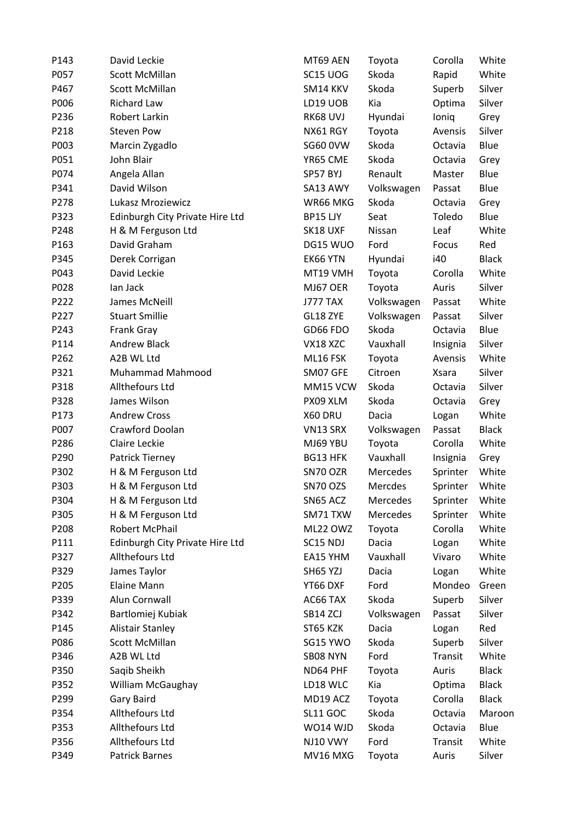| P143 | David Leckie                    | MT69 AEN        | Toyota     | Corolla      | White        |
|------|---------------------------------|-----------------|------------|--------------|--------------|
| P057 | <b>Scott McMillan</b>           | SC15 UOG        | Skoda      | Rapid        | White        |
| P467 | Scott McMillan                  | SM14 KKV        | Skoda      | Superb       | Silver       |
| P006 | <b>Richard Law</b>              | LD19 UOB        | Kia        | Optima       | Silver       |
| P236 | Robert Larkin                   | RK68 UVJ        | Hyundai    | loniq        | Grey         |
| P218 | <b>Steven Pow</b>               | NX61 RGY        | Toyota     | Avensis      | Silver       |
| P003 | Marcin Zygadlo                  | <b>SG60 0VW</b> | Skoda      | Octavia      | Blue         |
| P051 | John Blair                      | YR65 CME        | Skoda      | Octavia      | Grey         |
| P074 | Angela Allan                    | SP57 BYJ        | Renault    | Master       | Blue         |
| P341 | David Wilson                    | SA13 AWY        | Volkswagen | Passat       | Blue         |
| P278 | Lukasz Mroziewicz               | WR66 MKG        | Skoda      | Octavia      | Grey         |
| P323 | Edinburgh City Private Hire Ltd | BP15 LJY        | Seat       | Toledo       | Blue         |
| P248 | H & M Ferguson Ltd              | SK18 UXF        | Nissan     | Leaf         | White        |
| P163 | David Graham                    | DG15 WUO        | Ford       | Focus        | Red          |
| P345 | Derek Corrigan                  | EK66 YTN        | Hyundai    | i40          | <b>Black</b> |
| P043 | David Leckie                    | MT19 VMH        | Toyota     | Corolla      | White        |
| P028 | lan Jack                        | MJ67 OER        | Toyota     | Auris        | Silver       |
| P222 | James McNeill                   | J777 TAX        | Volkswagen | Passat       | White        |
| P227 | <b>Stuart Smillie</b>           | GL18 ZYE        | Volkswagen | Passat       | Silver       |
| P243 | Frank Gray                      | GD66 FDO        | Skoda      | Octavia      | Blue         |
| P114 | <b>Andrew Black</b>             | VX18 XZC        | Vauxhall   | Insignia     | Silver       |
| P262 | A2B WL Ltd                      | ML16 FSK        | Toyota     | Avensis      | White        |
| P321 | Muhammad Mahmood                | SM07 GFE        | Citroen    | <b>Xsara</b> | Silver       |
| P318 | Allthefours Ltd                 | MM15 VCW        | Skoda      | Octavia      | Silver       |
| P328 | James Wilson                    | PX09 XLM        | Skoda      | Octavia      | Grey         |
| P173 | <b>Andrew Cross</b>             | X60 DRU         | Dacia      | Logan        | White        |
| P007 | Crawford Doolan                 | VN13 SRX        | Volkswagen | Passat       | <b>Black</b> |
| P286 | Claire Leckie                   | MJ69 YBU        | Toyota     | Corolla      | White        |
| P290 | Patrick Tierney                 | <b>BG13 HFK</b> | Vauxhall   | Insignia     | Grey         |
| P302 | H & M Ferguson Ltd              | SN70 OZR        | Mercedes   | Sprinter     | White        |
| P303 | H & M Ferguson Ltd              | SN70 OZS        | Mercdes    | Sprinter     | White        |
| P304 | H & M Ferguson Ltd              | SN65 ACZ        | Mercedes   | Sprinter     | White        |
| P305 | H & M Ferguson Ltd              | SM71 TXW        | Mercedes   | Sprinter     | White        |
| P208 | Robert McPhail                  | ML22 OWZ        | Toyota     | Corolla      | White        |
| P111 | Edinburgh City Private Hire Ltd | SC15 NDJ        | Dacia      | Logan        | White        |
| P327 | Allthefours Ltd                 | EA15 YHM        | Vauxhall   | Vivaro       | White        |
| P329 | James Taylor                    | SH65 YZJ        | Dacia      | Logan        | White        |
| P205 | <b>Elaine Mann</b>              | YT66 DXF        | Ford       | Mondeo       | Green        |
| P339 | Alun Cornwall                   | AC66 TAX        | Skoda      | Superb       | Silver       |
| P342 | Bartlomiej Kubiak               | SB14 ZCJ        | Volkswagen | Passat       | Silver       |
| P145 | <b>Alistair Stanley</b>         | ST65 KZK        | Dacia      | Logan        | Red          |
| P086 | Scott McMillan                  | SG15 YWO        | Skoda      | Superb       | Silver       |
| P346 | A2B WL Ltd                      | SB08 NYN        | Ford       | Transit      | White        |
| P350 | Saqib Sheikh                    | ND64 PHF        | Toyota     | Auris        | <b>Black</b> |
| P352 | William McGaughay               | LD18 WLC        | Kia        | Optima       | <b>Black</b> |
| P299 | Gary Baird                      | MD19 ACZ        | Toyota     | Corolla      | <b>Black</b> |
| P354 | Allthefours Ltd                 | <b>SL11 GOC</b> | Skoda      | Octavia      | Maroon       |
| P353 | Allthefours Ltd                 | WO14 WJD        | Skoda      | Octavia      | Blue         |
| P356 | Allthefours Ltd                 | NJ10 VWY        | Ford       | Transit      | White        |
| P349 | Patrick Barnes                  | MV16 MXG        | Toyota     | Auris        | Silver       |
|      |                                 |                 |            |              |              |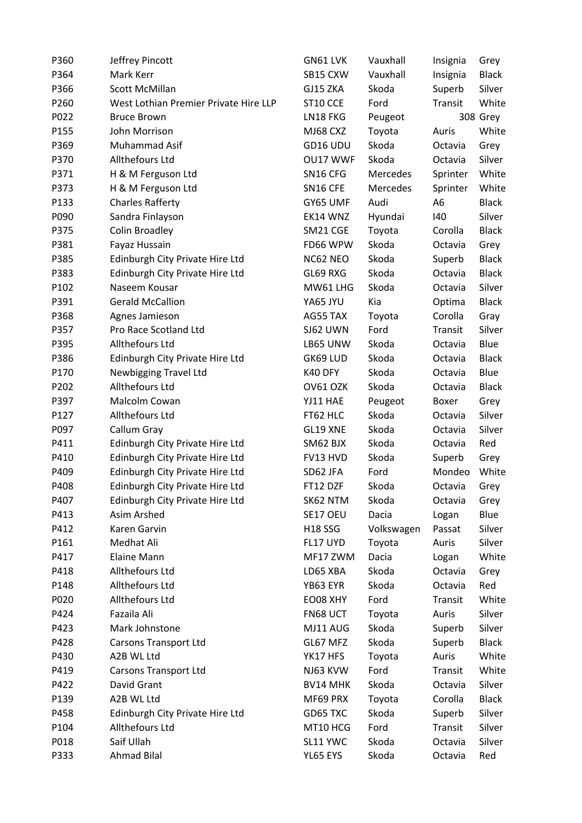| P360 | Jeffrey Pincott                       | GN61 LVK        | Vauxhall   | Insignia | Grey         |
|------|---------------------------------------|-----------------|------------|----------|--------------|
| P364 | Mark Kerr                             | SB15 CXW        | Vauxhall   | Insignia | <b>Black</b> |
| P366 | Scott McMillan                        | GJ15 ZKA        | Skoda      | Superb   | Silver       |
| P260 | West Lothian Premier Private Hire LLP | ST10 CCE        | Ford       | Transit  | White        |
| P022 | <b>Bruce Brown</b>                    | LN18 FKG        | Peugeot    |          | 308 Grey     |
| P155 | John Morrison                         | MJ68 CXZ        | Toyota     | Auris    | White        |
| P369 | Muhammad Asif                         | GD16 UDU        | Skoda      | Octavia  | Grey         |
| P370 | Allthefours Ltd                       | OU17 WWF        | Skoda      | Octavia  | Silver       |
| P371 | H & M Ferguson Ltd                    | SN16 CFG        | Mercedes   | Sprinter | White        |
| P373 | H & M Ferguson Ltd                    | SN16 CFE        | Mercedes   | Sprinter | White        |
| P133 | <b>Charles Rafferty</b>               | GY65 UMF        | Audi       | A6       | <b>Black</b> |
| P090 | Sandra Finlayson                      | EK14 WNZ        | Hyundai    | 140      | Silver       |
| P375 | Colin Broadley                        | SM21 CGE        | Toyota     | Corolla  | <b>Black</b> |
| P381 | Fayaz Hussain                         | FD66 WPW        | Skoda      | Octavia  | Grey         |
| P385 | Edinburgh City Private Hire Ltd       | NC62 NEO        | Skoda      | Superb   | <b>Black</b> |
| P383 | Edinburgh City Private Hire Ltd       | GL69 RXG        | Skoda      | Octavia  | <b>Black</b> |
| P102 | Naseem Kousar                         | MW61 LHG        | Skoda      | Octavia  | Silver       |
| P391 | <b>Gerald McCallion</b>               | YA65 JYU        | Kia        | Optima   | <b>Black</b> |
| P368 | Agnes Jamieson                        | AG55 TAX        | Toyota     | Corolla  | Gray         |
| P357 | Pro Race Scotland Ltd                 | SJ62 UWN        | Ford       | Transit  | Silver       |
| P395 | Allthefours Ltd                       | LB65 UNW        | Skoda      | Octavia  | Blue         |
| P386 | Edinburgh City Private Hire Ltd       | GK69 LUD        | Skoda      | Octavia  | <b>Black</b> |
| P170 | <b>Newbigging Travel Ltd</b>          | K40 DFY         | Skoda      | Octavia  | Blue         |
| P202 | Allthefours Ltd                       | OV61 OZK        | Skoda      | Octavia  | <b>Black</b> |
| P397 | Malcolm Cowan                         | YJ11 HAE        | Peugeot    | Boxer    | Grey         |
| P127 | Allthefours Ltd                       | FT62 HLC        | Skoda      | Octavia  | Silver       |
| P097 | Callum Gray                           | GL19 XNE        | Skoda      | Octavia  | Silver       |
| P411 | Edinburgh City Private Hire Ltd       | SM62 BJX        | Skoda      | Octavia  | Red          |
| P410 | Edinburgh City Private Hire Ltd       | FV13 HVD        | Skoda      | Superb   | Grey         |
| P409 | Edinburgh City Private Hire Ltd       | SD62 JFA        | Ford       | Mondeo   | White        |
| P408 | Edinburgh City Private Hire Ltd       | FT12 DZF        | Skoda      | Octavia  | Grey         |
| P407 | Edinburgh City Private Hire Ltd       | SK62 NTM        | Skoda      | Octavia  | Grey         |
| P413 | Asim Arshed                           | SE17 OEU        | Dacia      | Logan    | Blue         |
| P412 | Karen Garvin                          | <b>H18 SSG</b>  | Volkswagen | Passat   | Silver       |
| P161 | Medhat Ali                            | FL17 UYD        | Toyota     | Auris    | Silver       |
| P417 | <b>Elaine Mann</b>                    | MF17 ZWM        | Dacia      | Logan    | White        |
| P418 | Allthefours Ltd                       | LD65 XBA        | Skoda      | Octavia  | Grey         |
| P148 | Allthefours Ltd                       | YB63 EYR        | Skoda      | Octavia  | Red          |
| P020 | Allthefours Ltd                       | EO08 XHY        | Ford       | Transit  | White        |
| P424 | Fazaila Ali                           | FN68 UCT        | Toyota     | Auris    | Silver       |
| P423 | Mark Johnstone                        | MJ11 AUG        | Skoda      | Superb   | Silver       |
| P428 | <b>Carsons Transport Ltd</b>          | GL67 MFZ        | Skoda      | Superb   | <b>Black</b> |
| P430 | A2B WL Ltd                            | YK17 HFS        | Toyota     | Auris    | White        |
| P419 | <b>Carsons Transport Ltd</b>          | NJ63 KVW        | Ford       | Transit  | White        |
| P422 | David Grant                           | <b>BV14 MHK</b> | Skoda      | Octavia  | Silver       |
| P139 | A2B WL Ltd                            | MF69 PRX        | Toyota     | Corolla  | <b>Black</b> |
| P458 | Edinburgh City Private Hire Ltd       | GD65 TXC        | Skoda      | Superb   | Silver       |
| P104 | Allthefours Ltd                       | MT10 HCG        | Ford       | Transit  | Silver       |
| P018 | Saif Ullah                            | SL11 YWC        | Skoda      | Octavia  | Silver       |
| P333 | <b>Ahmad Bilal</b>                    | YL65 EYS        | Skoda      | Octavia  | Red          |
|      |                                       |                 |            |          |              |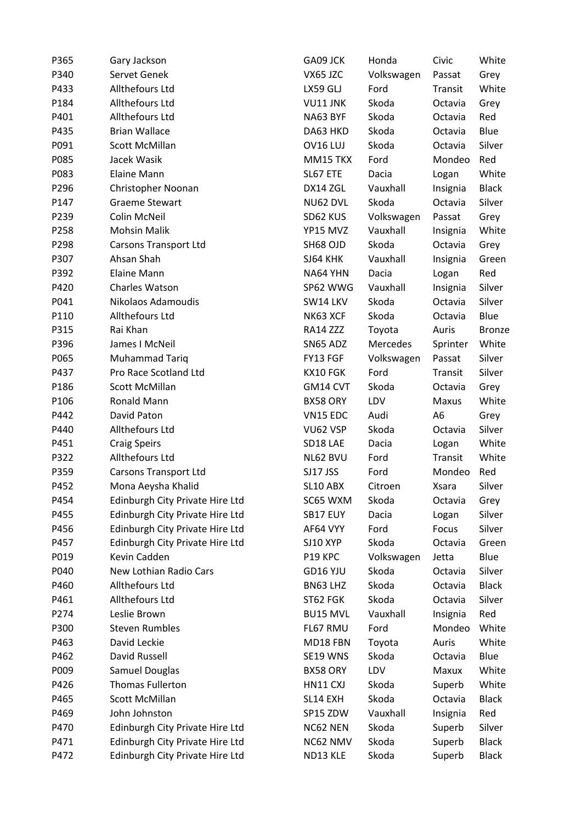| GA09 JCK<br>P365<br>Gary Jackson                    | Honda      | Civic        | White         |
|-----------------------------------------------------|------------|--------------|---------------|
| P340<br>Servet Genek<br>VX65 JZC                    | Volkswagen | Passat       | Grey          |
| Allthefours Ltd<br>P433<br>LX59 GLJ                 | Ford       | Transit      | White         |
| Allthefours Ltd<br>P184<br>VU11 JNK                 | Skoda      | Octavia      | Grey          |
| Allthefours Ltd<br>P401<br>NA63 BYF                 | Skoda      | Octavia      | Red           |
| <b>Brian Wallace</b><br>P435<br>DA63 HKD            | Skoda      | Octavia      | Blue          |
| Scott McMillan<br>P091<br>OV16 LUJ                  | Skoda      | Octavia      | Silver        |
| P085<br>Jacek Wasik<br>MM15 TKX                     | Ford       | Mondeo       | Red           |
| P083<br><b>Elaine Mann</b><br>SL67 ETE              | Dacia      | Logan        | White         |
| P296<br>Christopher Noonan<br>DX14 ZGL              | Vauxhall   | Insignia     | <b>Black</b>  |
| P147<br><b>Graeme Stewart</b><br>NU62 DVL           | Skoda      | Octavia      | Silver        |
| Colin McNeil<br>P239<br>SD62 KUS                    | Volkswagen | Passat       | Grey          |
| P258<br><b>Mohsin Malik</b><br>YP15 MVZ             | Vauxhall   | Insignia     | White         |
| P298<br>Carsons Transport Ltd<br>SH68 OJD           | Skoda      | Octavia      | Grey          |
| P307<br>Ahsan Shah<br>SJ64 KHK                      | Vauxhall   | Insignia     | Green         |
| P392<br><b>Elaine Mann</b><br>NA64 YHN              | Dacia      | Logan        | Red           |
| Charles Watson<br>P420<br>SP62 WWG                  | Vauxhall   | Insignia     | Silver        |
| P041<br>Nikolaos Adamoudis<br>SW14 LKV              | Skoda      | Octavia      | Silver        |
| Allthefours Ltd<br>P110<br>NK63 XCF                 | Skoda      | Octavia      | Blue          |
| Rai Khan<br>P315<br>RA14 ZZZ                        | Toyota     | Auris        | <b>Bronze</b> |
| P396<br>James I McNeil<br>SN65 ADZ                  | Mercedes   | Sprinter     | White         |
| P065<br>Muhammad Tariq<br>FY13 FGF                  | Volkswagen | Passat       | Silver        |
| Pro Race Scotland Ltd<br>P437<br>KX10 FGK           | Ford       | Transit      | Silver        |
| Scott McMillan<br>P186<br>GM14 CVT                  | Skoda      | Octavia      | Grey          |
| Ronald Mann<br>P106<br>BX58 ORY                     | LDV        | Maxus        | White         |
| David Paton<br>P442<br>VN15 EDC                     | Audi       | A6           | Grey          |
| Allthefours Ltd<br>P440<br>VU62 VSP                 | Skoda      | Octavia      | Silver        |
| SD18 LAE<br>P451<br><b>Craig Speirs</b>             | Dacia      | Logan        | White         |
| Allthefours Ltd<br>P322<br>NL62 BVU                 | Ford       | Transit      | White         |
| P359<br><b>Carsons Transport Ltd</b><br>SJ17 JSS    | Ford       | Mondeo       | Red           |
| P452<br>Mona Aeysha Khalid<br>SL10 ABX              | Citroen    | <b>Xsara</b> | Silver        |
| SC65 WXM<br>P454<br>Edinburgh City Private Hire Ltd | Skoda      | Octavia      | Grey          |
| P455<br>Edinburgh City Private Hire Ltd<br>SB17 EUY | Dacia      | Logan        | Silver        |
| Edinburgh City Private Hire Ltd<br>P456<br>AF64 VYY | Ford       | Focus        | Silver        |
| P457<br>Edinburgh City Private Hire Ltd<br>SJ10 XYP | Skoda      | Octavia      | Green         |
| Kevin Cadden<br>P019<br>P19 KPC                     | Volkswagen | Jetta        | Blue          |
| New Lothian Radio Cars<br>P040<br>GD16 YJU          | Skoda      | Octavia      | Silver        |
| Allthefours Ltd<br>P460<br>BN63 LHZ                 | Skoda      | Octavia      | <b>Black</b>  |
| Allthefours Ltd<br>P461<br>ST62 FGK                 | Skoda      | Octavia      | Silver        |
| Leslie Brown<br>P274<br><b>BU15 MVL</b>             | Vauxhall   | Insignia     | Red           |
| <b>Steven Rumbles</b><br>FL67 RMU<br>P300           | Ford       | Mondeo       | White         |
|                                                     |            |              |               |
| David Leckie<br>P463<br>MD18 FBN                    | Toyota     | Auris        | White         |
| David Russell<br>P462<br>SE19 WNS                   | Skoda      | Octavia      | Blue          |
| Samuel Douglas<br>P009<br>BX58 ORY                  | LDV        | Maxux        | White         |
| Thomas Fullerton<br>P426<br>HN11 CXJ                | Skoda      | Superb       | White         |
| P465<br>Scott McMillan<br>SL14 EXH                  | Skoda      | Octavia      | <b>Black</b>  |
| John Johnston<br>P469<br>SP15 ZDW                   | Vauxhall   | Insignia     | Red           |
| Edinburgh City Private Hire Ltd<br>P470<br>NC62 NEN | Skoda      | Superb       | Silver        |
| Edinburgh City Private Hire Ltd<br>P471<br>NC62 NMV | Skoda      | Superb       | <b>Black</b>  |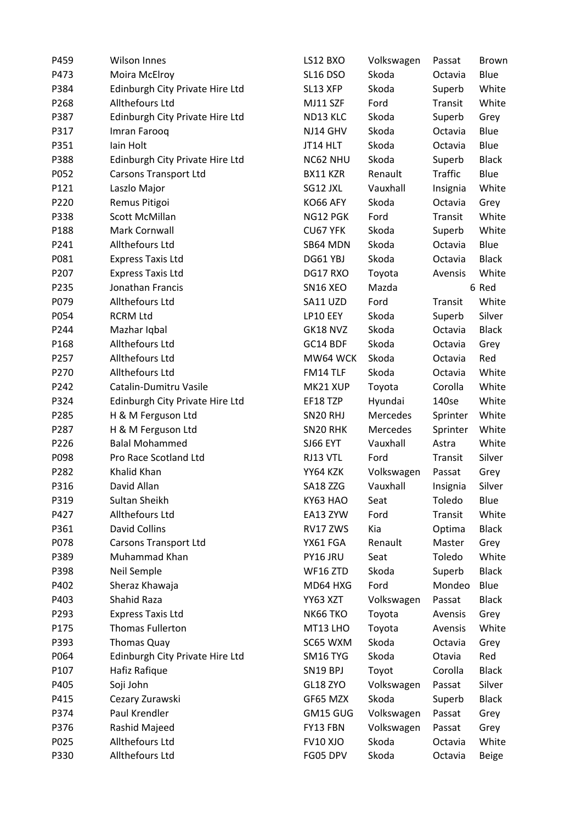| P459 | <b>Wilson Innes</b>             | LS12 BXO             | Volkswagen | Passat         | <b>Brown</b> |
|------|---------------------------------|----------------------|------------|----------------|--------------|
| P473 | Moira McElroy                   | SL16 DSO             | Skoda      | Octavia        | Blue         |
| P384 | Edinburgh City Private Hire Ltd | SL13 XFP             | Skoda      | Superb         | White        |
| P268 | Allthefours Ltd                 | MJ11 SZF             | Ford       | Transit        | White        |
| P387 | Edinburgh City Private Hire Ltd | ND13 KLC             | Skoda      | Superb         | Grey         |
| P317 | Imran Farooq                    | NJ14 GHV             | Skoda      | Octavia        | Blue         |
| P351 | lain Holt                       | JT14 HLT             | Skoda      | Octavia        | Blue         |
| P388 | Edinburgh City Private Hire Ltd | NC62 NHU             | Skoda      | Superb         | <b>Black</b> |
| P052 | <b>Carsons Transport Ltd</b>    | BX11 KZR             | Renault    | <b>Traffic</b> | Blue         |
| P121 | Laszlo Major                    | SG12 JXL             | Vauxhall   | Insignia       | White        |
| P220 | Remus Pitigoi                   | KO66 AFY             | Skoda      | Octavia        | Grey         |
| P338 | Scott McMillan                  | NG12 PGK             | Ford       | Transit        | White        |
| P188 | Mark Cornwall                   | CU67 YFK             | Skoda      | Superb         | White        |
| P241 | Allthefours Ltd                 | SB64 MDN             | Skoda      | Octavia        | Blue         |
| P081 | <b>Express Taxis Ltd</b>        | DG61 YBJ             | Skoda      | Octavia        | <b>Black</b> |
| P207 | <b>Express Taxis Ltd</b>        | DG17 RXO             | Toyota     | Avensis        | White        |
| P235 | Jonathan Francis                | SN16 XEO             | Mazda      |                | 6 Red        |
| P079 | Allthefours Ltd                 | SA11 UZD             | Ford       | Transit        | White        |
| P054 | <b>RCRM Ltd</b>                 | LP10 EEY             | Skoda      | Superb         | Silver       |
| P244 | Mazhar Iqbal                    | GK18 NVZ             | Skoda      | Octavia        | <b>Black</b> |
| P168 | Allthefours Ltd                 | GC14 BDF             | Skoda      | Octavia        | Grey         |
| P257 | Allthefours Ltd                 | MW64 WCK             | Skoda      | Octavia        | Red          |
| P270 | Allthefours Ltd                 | FM14 TLF             | Skoda      | Octavia        | White        |
| P242 | Catalin-Dumitru Vasile          | MK21 XUP             | Toyota     | Corolla        | White        |
| P324 | Edinburgh City Private Hire Ltd | EF18 TZP             | Hyundai    | 140se          | White        |
| P285 | H & M Ferguson Ltd              | SN <sub>20</sub> RHJ | Mercedes   | Sprinter       | White        |
| P287 | H & M Ferguson Ltd              | SN20 RHK             | Mercedes   | Sprinter       | White        |
| P226 | <b>Balal Mohammed</b>           | SJ66 EYT             | Vauxhall   | Astra          | White        |
| P098 | Pro Race Scotland Ltd           | RJ13 VTL             | Ford       | Transit        | Silver       |
| P282 | Khalid Khan                     | YY64 KZK             | Volkswagen | Passat         | Grey         |
| P316 | David Allan                     | SA18 ZZG             | Vauxhall   | Insignia       | Silver       |
| P319 | Sultan Sheikh                   | KY63 HAO             | Seat       | Toledo         | Blue         |
| P427 | Allthefours Ltd                 | EA13 ZYW             | Ford       | Transit        | White        |
| P361 | <b>David Collins</b>            | RV17 ZWS             | Kia        | Optima         | <b>Black</b> |
| P078 | <b>Carsons Transport Ltd</b>    | YX61 FGA             | Renault    | Master         | Grey         |
| P389 | Muhammad Khan                   | PY16 JRU             | Seat       | Toledo         | White        |
| P398 | Neil Semple                     | WF16 ZTD             | Skoda      | Superb         | <b>Black</b> |
| P402 | Sheraz Khawaja                  | MD64 HXG             | Ford       | Mondeo         | Blue         |
| P403 | Shahid Raza                     | YY63 XZT             | Volkswagen | Passat         | <b>Black</b> |
| P293 | <b>Express Taxis Ltd</b>        | <b>NK66 TKO</b>      | Toyota     | Avensis        | Grey         |
| P175 | <b>Thomas Fullerton</b>         | MT13 LHO             | Toyota     | Avensis        | White        |
| P393 | <b>Thomas Quay</b>              | SC65 WXM             | Skoda      | Octavia        | Grey         |
| P064 | Edinburgh City Private Hire Ltd | SM16 TYG             | Skoda      | Otavia         | Red          |
| P107 | Hafiz Rafique                   | SN19 BPJ             | Toyot      | Corolla        | <b>Black</b> |
| P405 | Soji John                       | GL18 ZYO             | Volkswagen | Passat         | Silver       |
| P415 | Cezary Zurawski                 | GF65 MZX             | Skoda      | Superb         | <b>Black</b> |
| P374 | Paul Krendler                   | GM15 GUG             | Volkswagen | Passat         | Grey         |
| P376 | Rashid Majeed                   | FY13 FBN             | Volkswagen | Passat         | Grey         |
| P025 | Allthefours Ltd                 | <b>FV10 XJO</b>      | Skoda      | Octavia        | White        |
| P330 | Allthefours Ltd                 | FG05 DPV             | Skoda      | Octavia        | <b>Beige</b> |
|      |                                 |                      |            |                |              |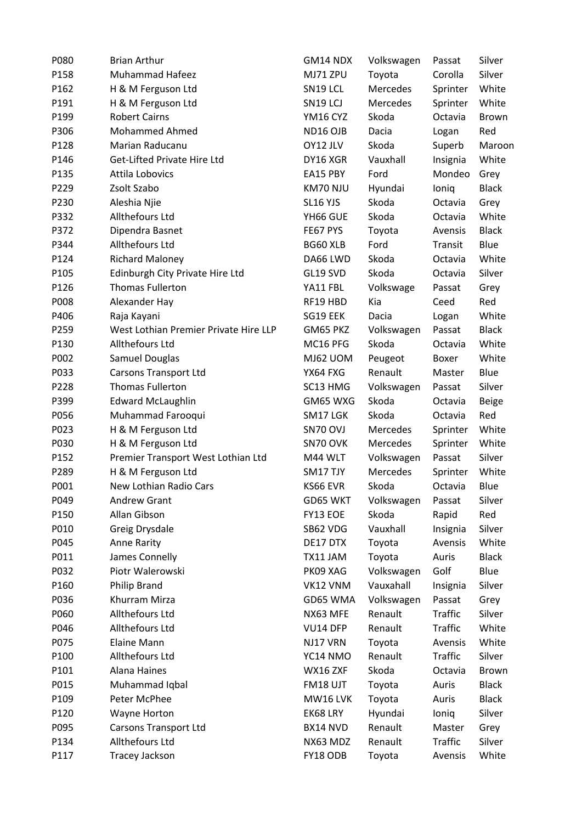| P080 | <b>Brian Arthur</b>                   | GM14 NDX | Volkswagen | Passat         | Silver       |
|------|---------------------------------------|----------|------------|----------------|--------------|
| P158 | Muhammad Hafeez                       | MJ71 ZPU | Toyota     | Corolla        | Silver       |
| P162 | H & M Ferguson Ltd                    | SN19 LCL | Mercedes   | Sprinter       | White        |
| P191 | H & M Ferguson Ltd                    | SN19 LCJ | Mercedes   | Sprinter       | White        |
| P199 | <b>Robert Cairns</b>                  | YM16 CYZ | Skoda      | Octavia        | <b>Brown</b> |
| P306 | <b>Mohammed Ahmed</b>                 | ND16 OJB | Dacia      | Logan          | Red          |
| P128 | Marian Raducanu                       | OY12 JLV | Skoda      | Superb         | Maroon       |
| P146 | Get-Lifted Private Hire Ltd           | DY16 XGR | Vauxhall   | Insignia       | White        |
| P135 | Attila Lobovics                       | EA15 PBY | Ford       | Mondeo         | Grey         |
| P229 | Zsolt Szabo                           | KM70 NJU | Hyundai    | loniq          | <b>Black</b> |
| P230 | Aleshia Njie                          | SL16 YJS | Skoda      | Octavia        | Grey         |
| P332 | Allthefours Ltd                       | YH66 GUE | Skoda      | Octavia        | White        |
| P372 | Dipendra Basnet                       | FE67 PYS | Toyota     | Avensis        | <b>Black</b> |
| P344 | Allthefours Ltd                       | BG60 XLB | Ford       | Transit        | Blue         |
| P124 | <b>Richard Maloney</b>                | DA66 LWD | Skoda      | Octavia        | White        |
| P105 | Edinburgh City Private Hire Ltd       | GL19 SVD | Skoda      | Octavia        | Silver       |
| P126 | <b>Thomas Fullerton</b>               | YA11 FBL | Volkswage  | Passat         | Grey         |
| P008 | Alexander Hay                         | RF19 HBD | Kia        | Ceed           | Red          |
| P406 | Raja Kayani                           | SG19 EEK | Dacia      | Logan          | White        |
| P259 | West Lothian Premier Private Hire LLP | GM65 PKZ | Volkswagen | Passat         | <b>Black</b> |
| P130 | Allthefours Ltd                       | MC16 PFG | Skoda      | Octavia        | White        |
| P002 | Samuel Douglas                        | MJ62 UOM | Peugeot    | Boxer          | White        |
| P033 | <b>Carsons Transport Ltd</b>          | YX64 FXG | Renault    | Master         | Blue         |
| P228 | <b>Thomas Fullerton</b>               | SC13 HMG | Volkswagen | Passat         | Silver       |
| P399 | <b>Edward McLaughlin</b>              | GM65 WXG | Skoda      | Octavia        | <b>Beige</b> |
| P056 | Muhammad Farooqui                     | SM17 LGK | Skoda      | Octavia        | Red          |
| P023 | H & M Ferguson Ltd                    | SN70 OVJ | Mercedes   | Sprinter       | White        |
| P030 | H & M Ferguson Ltd                    | SN70 OVK | Mercedes   | Sprinter       | White        |
| P152 | Premier Transport West Lothian Ltd    | M44 WLT  | Volkswagen | Passat         | Silver       |
| P289 | H & M Ferguson Ltd                    | SM17 TJY | Mercedes   | Sprinter       | White        |
| P001 | New Lothian Radio Cars                | KS66 EVR | Skoda      | Octavia        | Blue         |
| P049 | <b>Andrew Grant</b>                   | GD65 WKT | Volkswagen | Passat         | Silver       |
| P150 | Allan Gibson                          | FY13 EOE | Skoda      | Rapid          | Red          |
| P010 | Greig Drysdale                        | SB62 VDG | Vauxhall   | Insignia       | Silver       |
| P045 | <b>Anne Rarity</b>                    | DE17 DTX | Toyota     | Avensis        | White        |
| P011 | James Connelly                        | TX11 JAM | Toyota     | Auris          | <b>Black</b> |
| P032 | Piotr Walerowski                      | PK09 XAG | Volkswagen | Golf           | Blue         |
| P160 | Philip Brand                          | VK12 VNM | Vauxahall  | Insignia       | Silver       |
| P036 | Khurram Mirza                         | GD65 WMA | Volkswagen | Passat         | Grey         |
| P060 | Allthefours Ltd                       | NX63 MFE | Renault    | <b>Traffic</b> | Silver       |
| P046 | Allthefours Ltd                       | VU14 DFP | Renault    | <b>Traffic</b> | White        |
| P075 | Elaine Mann                           | NJ17 VRN | Toyota     | Avensis        | White        |
| P100 | Allthefours Ltd                       | YC14 NMO | Renault    | <b>Traffic</b> | Silver       |
| P101 | <b>Alana Haines</b>                   | WX16 ZXF | Skoda      | Octavia        | <b>Brown</b> |
| P015 | Muhammad Iqbal                        | FM18 UJT | Toyota     | Auris          | <b>Black</b> |
| P109 | Peter McPhee                          | MW16 LVK | Toyota     | Auris          | <b>Black</b> |
| P120 | Wayne Horton                          | EK68 LRY | Hyundai    | loniq          | Silver       |
| P095 | <b>Carsons Transport Ltd</b>          | BX14 NVD | Renault    | Master         | Grey         |
| P134 | Allthefours Ltd                       | NX63 MDZ | Renault    | Traffic        | Silver       |
| P117 | Tracey Jackson                        | FY18 ODB | Toyota     | Avensis        | White        |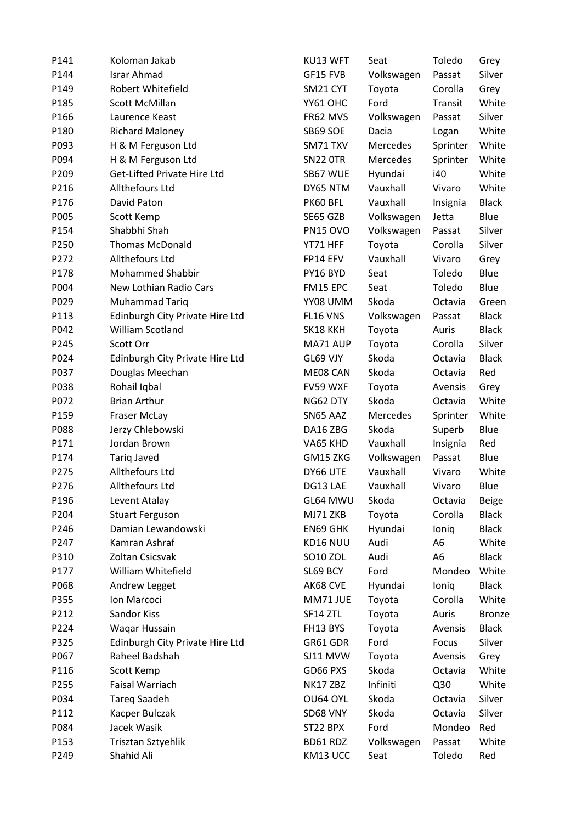| P141 | Koloman Jakab                   | KU13 WFT        | Seat       | Toledo         | Grey          |
|------|---------------------------------|-----------------|------------|----------------|---------------|
| P144 | <b>Israr Ahmad</b>              | GF15 FVB        | Volkswagen | Passat         | Silver        |
| P149 | Robert Whitefield               | SM21 CYT        | Toyota     | Corolla        | Grey          |
| P185 | Scott McMillan                  | YY61 OHC        | Ford       | Transit        | White         |
| P166 | Laurence Keast                  | FR62 MVS        | Volkswagen | Passat         | Silver        |
| P180 | <b>Richard Maloney</b>          | SB69 SOE        | Dacia      | Logan          | White         |
| P093 | H & M Ferguson Ltd              | SM71 TXV        | Mercedes   | Sprinter       | White         |
| P094 | H & M Ferguson Ltd              | <b>SN22 OTR</b> | Mercedes   | Sprinter       | White         |
| P209 | Get-Lifted Private Hire Ltd     | SB67 WUE        | Hyundai    | i40            | White         |
| P216 | Allthefours Ltd                 | DY65 NTM        | Vauxhall   | Vivaro         | White         |
| P176 | David Paton                     | PK60 BFL        | Vauxhall   | Insignia       | <b>Black</b>  |
| P005 | Scott Kemp                      | SE65 GZB        | Volkswagen | Jetta          | Blue          |
| P154 | Shabbhi Shah                    | PN15 OVO        | Volkswagen | Passat         | Silver        |
| P250 | <b>Thomas McDonald</b>          | YT71 HFF        | Toyota     | Corolla        | Silver        |
| P272 | Allthefours Ltd                 | FP14 EFV        | Vauxhall   | Vivaro         | Grey          |
| P178 | <b>Mohammed Shabbir</b>         | PY16 BYD        | Seat       | Toledo         | Blue          |
| P004 | New Lothian Radio Cars          | FM15 EPC        | Seat       | Toledo         | Blue          |
| P029 | Muhammad Tariq                  | YY08 UMM        | Skoda      | Octavia        | Green         |
| P113 | Edinburgh City Private Hire Ltd | FL16 VNS        | Volkswagen | Passat         | <b>Black</b>  |
| P042 | William Scotland                | SK18 KKH        | Toyota     | Auris          | <b>Black</b>  |
| P245 | Scott Orr                       | MA71 AUP        | Toyota     | Corolla        | Silver        |
| P024 | Edinburgh City Private Hire Ltd | GL69 VJY        | Skoda      | Octavia        | <b>Black</b>  |
| P037 | Douglas Meechan                 | ME08 CAN        | Skoda      | Octavia        | Red           |
| P038 | Rohail Iqbal                    | FV59 WXF        | Toyota     | Avensis        | Grey          |
| P072 | <b>Brian Arthur</b>             | NG62 DTY        | Skoda      | Octavia        | White         |
| P159 | Fraser McLay                    | SN65 AAZ        | Mercedes   | Sprinter       | White         |
| P088 | Jerzy Chlebowski                | DA16 ZBG        | Skoda      | Superb         | Blue          |
| P171 | Jordan Brown                    | VA65 KHD        | Vauxhall   | Insignia       | Red           |
| P174 | <b>Tariq Javed</b>              | GM15 ZKG        | Volkswagen | Passat         | Blue          |
| P275 | Allthefours Ltd                 | DY66 UTE        | Vauxhall   | Vivaro         | White         |
| P276 | Allthefours Ltd                 | DG13 LAE        | Vauxhall   | Vivaro         | Blue          |
| P196 | Levent Atalay                   | GL64 MWU        | Skoda      | Octavia        | <b>Beige</b>  |
| P204 | <b>Stuart Ferguson</b>          | MJ71 ZKB        | Toyota     | Corolla        | <b>Black</b>  |
| P246 | Damian Lewandowski              | <b>EN69 GHK</b> | Hyundai    | loniq          | <b>Black</b>  |
| P247 | Kamran Ashraf                   | KD16 NUU        | Audi       | A <sub>6</sub> | White         |
| P310 | Zoltan Csicsvak                 | SO10 ZOL        | Audi       | A <sub>6</sub> | <b>Black</b>  |
| P177 | William Whitefield              | SL69 BCY        | Ford       | Mondeo         | White         |
| P068 | Andrew Legget                   | AK68 CVE        | Hyundai    | loniq          | <b>Black</b>  |
| P355 | Ion Marcoci                     | MM71 JUE        | Toyota     | Corolla        | White         |
| P212 | Sandor Kiss                     | SF14 ZTL        | Toyota     | Auris          | <b>Bronze</b> |
| P224 | Waqar Hussain                   | FH13 BYS        | Toyota     | Avensis        | <b>Black</b>  |
| P325 | Edinburgh City Private Hire Ltd | GR61 GDR        | Ford       | Focus          | Silver        |
| P067 | Raheel Badshah                  | SJ11 MVW        | Toyota     | Avensis        | Grey          |
| P116 | Scott Kemp                      | GD66 PXS        | Skoda      | Octavia        | White         |
| P255 | Faisal Warriach                 | NK17 ZBZ        | Infiniti   | Q30            | White         |
| P034 | <b>Tareg Saadeh</b>             | OU64 OYL        | Skoda      | Octavia        | Silver        |
| P112 | Kacper Bulczak                  | SD68 VNY        | Skoda      | Octavia        | Silver        |
| P084 | Jacek Wasik                     | ST22 BPX        | Ford       | Mondeo         | Red           |
| P153 | Trisztan Sztyehlik              | BD61 RDZ        | Volkswagen | Passat         | White         |
| P249 | Shahid Ali                      | KM13 UCC        | Seat       | Toledo         | Red           |
|      |                                 |                 |            |                |               |